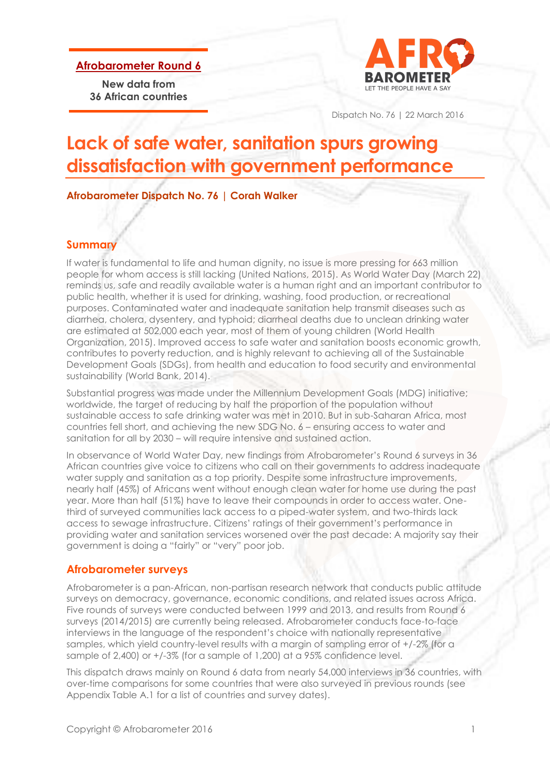**Afrobarometer Round 6**

**New data from 36 African countries**



Dispatch No. 76 | 22 March 2016

# **Lack of safe water, sanitation spurs growing dissatisfaction with government performance**

**Afrobarometer Dispatch No. 76 | Corah Walker**

### **Summary**

If water is fundamental to life and human dignity, no issue is more pressing for 663 million people for whom access is still lacking (United Nations, 2015). As World Water Day (March 22) reminds us, safe and readily available water is a human right and an important contributor to public health, whether it is used for drinking, washing, food production, or recreational purposes. Contaminated water and inadequate sanitation help transmit diseases such as diarrhea, cholera, dysentery, and typhoid; diarrheal deaths due to unclean drinking water are estimated at 502,000 each year, most of them of young children (World Health Organization, 2015). Improved access to safe water and sanitation boosts economic growth, contributes to poverty reduction, and is highly relevant to achieving all of the Sustainable Development Goals (SDGs), from health and education to food security and environmental sustainability (World Bank, 2014).

Substantial progress was made under the Millennium Development Goals (MDG) initiative; worldwide, the target of reducing by half the proportion of the population without sustainable access to safe drinking water was met in 2010. But in sub-Saharan Africa, most countries fell short, and achieving the new SDG No. 6 – ensuring access to water and sanitation for all by 2030 – will require intensive and sustained action.

In observance of World Water Day, new findings from Afrobarometer's Round 6 surveys in 36 African countries give voice to citizens who call on their governments to address inadequate water supply and sanitation as a top priority. Despite some infrastructure improvements, nearly half (45%) of Africans went without enough clean water for home use during the past year. More than half (51%) have to leave their compounds in order to access water. Onethird of surveyed communities lack access to a piped-water system, and two-thirds lack access to sewage infrastructure. Citizens' ratings of their government's performance in providing water and sanitation services worsened over the past decade: A majority say their government is doing a "fairly" or "very" poor job.

#### **Afrobarometer surveys**

Afrobarometer is a pan-African, non-partisan research network that conducts public attitude surveys on democracy, governance, economic conditions, and related issues across Africa. Five rounds of surveys were conducted between 1999 and 2013, and results from Round 6 surveys (2014/2015) are currently being released. Afrobarometer conducts face-to-face interviews in the language of the respondent's choice with nationally representative samples, which yield country-level results with a margin of sampling error of +/-2% (for a sample of 2,400) or +/-3% (for a sample of 1,200) at a 95% confidence level.

This dispatch draws mainly on Round 6 data from nearly 54,000 interviews in 36 countries, with over-time comparisons for some countries that were also surveyed in previous rounds (see Appendix Table A.1 for a list of countries and survey dates).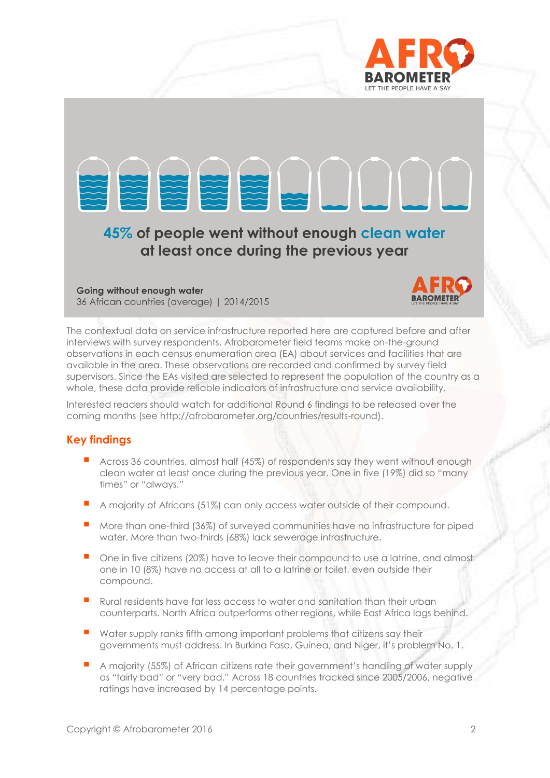



36 African countries (average) | 2014/2015



The contextual data on service infrastructure reported here are captured before and after interviews with survey respondents. Afrobarometer field teams make on-the-ground observations in each census enumeration area (EA) about services and facilities that are available in the area. These observations are recorded and confirmed by survey field supervisors. Since the EAs visited are selected to represent the population of the country as a whole, these data provide reliable indicators of infrastructure and service availability.

Interested readers should watch for additional Round 6 findings to be released over the coming months (see [http://afrobarometer.org/countries/results-round\)](http://afrobarometer.org/countries/results-round).

# **Key findings**

- Across 36 countries, almost half (45%) of respondents say they went without enough clean water at least once during the previous year. One in five (19%) did so "many times" or "always."
- A majority of Africans (51%) can only access water outside of their compound.
- **More than one-third (36%) of surveyed communities have no infrastructure for piped** water. More than two-thirds (68%) lack sewerage infrastructure.
- One in five citizens (20%) have to leave their compound to use a latrine, and almost one in 10 (8%) have no access at all to a latrine or toilet, even outside their compound.
- Rural residents have far less access to water and sanitation than their urban counterparts. North Africa outperforms other regions, while East Africa lags behind.
- $\blacksquare$  Water supply ranks fifth among important problems that citizens say their governments must address. In Burkina Faso, Guinea, and Niger, it's problem No. 1.
- A majority (55%) of African citizens rate their government's handling of water supply as "fairly bad" or "very bad." Across 18 countries tracked since 2005/2006, negative ratings have increased by 14 percentage points.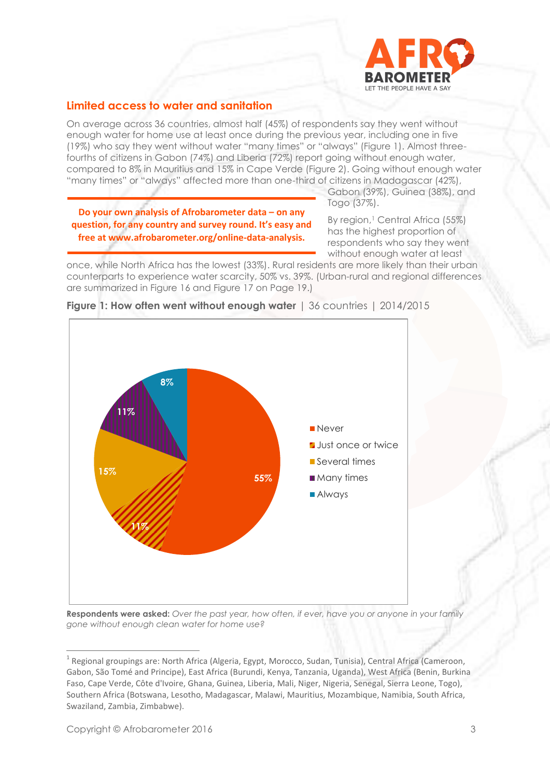

# **Limited access to water and sanitation**

On average across 36 countries, almost half (45%) of respondents say they went without enough water for home use at least once during the previous year, including one in five (19%) who say they went without water "many times" or "always" (Figure 1). Almost threefourths of citizens in Gabon (74%) and Liberia (72%) report going without enough water, compared to 8% in Mauritius and 15% in Cape Verde (Figure 2). Going without enough water "many times" or "always" affected more than one-third of citizens in Madagascar (42%),

**Do your own analysis of Afrobarometer data – on any question, for any country and survey round. It's easy and free at www.afrobarometer.org/online-data-analysis.**

Gabon (39%), Guinea (38%), and Togo (37%).

By region,<sup>1</sup> Central Africa (55%) has the highest proportion of respondents who say they went without enough water at least

once, while North Africa has the lowest (33%). Rural residents are more likely than their urban counterparts to experience water scarcity, 50% vs. 39%. (Urban-rural and regional differences are summarized in Figure 16 and Figure 17 on Page 19.)



#### **Figure 1: How often went without enough water** | 36 countries | 2014/2015

**Respondents were asked:** *Over the past year, how often, if ever, have you or anyone in your family gone without enough clean water for home use?*

<sup>&</sup>lt;sup>1</sup> Regional groupings are: North Africa (Algeria, Egypt, Morocco, Sudan, Tunisia), Central Africa (Cameroon, Gabon, São Tomé and Principe), East Africa (Burundi, Kenya, Tanzania, Uganda), West Africa (Benin, Burkina Faso, Cape Verde, Côte d'Ivoire, Ghana, Guinea, Liberia, Mali, Niger, Nigeria, Senegal, Sierra Leone, Togo), Southern Africa (Botswana, Lesotho, Madagascar, Malawi, Mauritius, Mozambique, Namibia, South Africa, Swaziland, Zambia, Zimbabwe).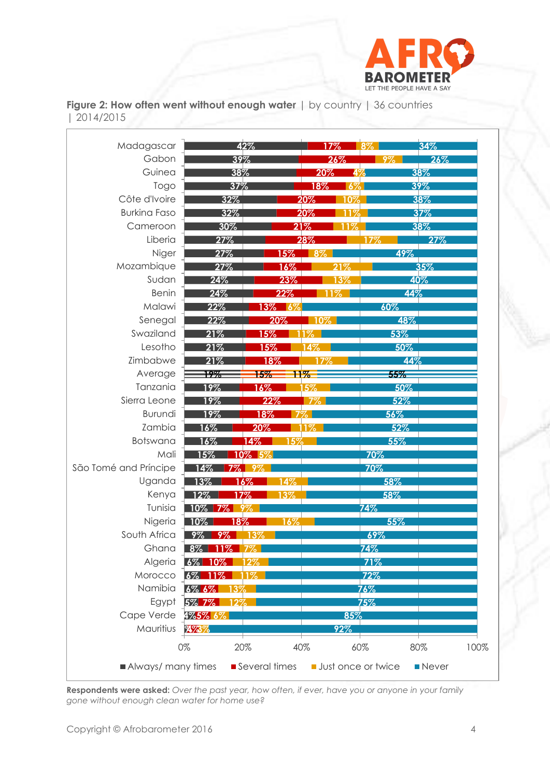

|                  | <b>Figure 2: How often went without enough water</b> $\vert$ by country $\vert$ 36 countries |  |  |
|------------------|----------------------------------------------------------------------------------------------|--|--|
| $\mid$ 2014/2015 |                                                                                              |  |  |

| Gabon<br>39%<br>26%<br>26%<br>9%<br>Guinea<br>38%<br>20%<br>38%<br>49<br>Togo<br>37%<br>18%<br>39%<br>6%<br>Côte d'Ivoire<br>38%<br>32%<br>20%<br>10%<br><b>Burkina Faso</b><br>32%<br>37%<br>20%<br>11%<br>Cameroon<br>30%<br>21%<br>38%<br>1%<br>Liberia<br>27%<br>28%<br>27%<br>17%<br>Niger<br>27%<br>$\sqrt{8\%}$<br>49%<br>15%<br>Mozambique<br>35%<br>27%<br>$16\%$<br>21%<br>Sudan<br>24%<br>40%<br>23%<br>13%<br><b>Benin</b><br>24%<br>22%<br>44%<br>$1\%$<br>Malawi<br>22%<br>60%<br>$13\%$<br>- 16%<br>Senegal<br>22%<br>48%<br>20%<br>$ 10\% $<br>Swaziland<br>21%<br>53%<br>15%<br>$1\%$<br>Lesotho<br>21%<br>15%<br>50%<br>14%<br>Zimbabwe<br>21%<br>44%<br>18%<br>17%<br>Average<br>55%<br>19%<br>15%<br>$11\%$<br>Tanzania<br>19%<br>16%<br>5%<br>50%<br>Sierra Leone<br>19%<br>22%<br>52%<br>$7\%$<br>Burundi<br>19%<br>18%<br>56%<br>Zambia<br>20%<br>52%<br>$16\%$<br>1%<br>Botswana<br>$14\%$<br>55%<br>16%<br>15%<br>Mali<br>10% 5%<br>70%<br>15%<br>São Tomé and Príncipe<br>70%<br>14%<br>-9%<br>Uganda<br>13%<br>16%<br>58%<br>14%<br>Kenya<br>58%<br>12%<br><u> 17% </u><br>13%<br>Tunisia<br>$10\%$ 7%<br>$74\%$<br>9%<br>Nigeria<br>55%<br>$10\%$<br>18%<br>16%<br>South Africa<br>69%<br>9%<br>9%<br>13%<br>$8\%$<br>74%<br>Ghana<br>11%<br>Algeria<br>6% 10%<br>71%<br>$12\%$<br>Morocco<br>$\sqrt{6\%}$ 11%<br>72%<br>$1\%$<br>Namibia<br>6% 6%<br>$76\%$<br>3%<br>Egypt<br>5% 7%<br>75%<br>12%<br>Cape Verde<br>4%5% 6%<br>85%<br>Mauritius<br>273%<br>92% | Madagascar |    | 42% | 17% | 8%  | 34%         |
|--------------------------------------------------------------------------------------------------------------------------------------------------------------------------------------------------------------------------------------------------------------------------------------------------------------------------------------------------------------------------------------------------------------------------------------------------------------------------------------------------------------------------------------------------------------------------------------------------------------------------------------------------------------------------------------------------------------------------------------------------------------------------------------------------------------------------------------------------------------------------------------------------------------------------------------------------------------------------------------------------------------------------------------------------------------------------------------------------------------------------------------------------------------------------------------------------------------------------------------------------------------------------------------------------------------------------------------------------------------------------------------------------------------------------------------------------------------------------------------------|------------|----|-----|-----|-----|-------------|
|                                                                                                                                                                                                                                                                                                                                                                                                                                                                                                                                                                                                                                                                                                                                                                                                                                                                                                                                                                                                                                                                                                                                                                                                                                                                                                                                                                                                                                                                                            |            |    |     |     |     |             |
|                                                                                                                                                                                                                                                                                                                                                                                                                                                                                                                                                                                                                                                                                                                                                                                                                                                                                                                                                                                                                                                                                                                                                                                                                                                                                                                                                                                                                                                                                            |            |    |     |     |     |             |
|                                                                                                                                                                                                                                                                                                                                                                                                                                                                                                                                                                                                                                                                                                                                                                                                                                                                                                                                                                                                                                                                                                                                                                                                                                                                                                                                                                                                                                                                                            |            |    |     |     |     |             |
|                                                                                                                                                                                                                                                                                                                                                                                                                                                                                                                                                                                                                                                                                                                                                                                                                                                                                                                                                                                                                                                                                                                                                                                                                                                                                                                                                                                                                                                                                            |            |    |     |     |     |             |
|                                                                                                                                                                                                                                                                                                                                                                                                                                                                                                                                                                                                                                                                                                                                                                                                                                                                                                                                                                                                                                                                                                                                                                                                                                                                                                                                                                                                                                                                                            |            |    |     |     |     |             |
|                                                                                                                                                                                                                                                                                                                                                                                                                                                                                                                                                                                                                                                                                                                                                                                                                                                                                                                                                                                                                                                                                                                                                                                                                                                                                                                                                                                                                                                                                            |            |    |     |     |     |             |
|                                                                                                                                                                                                                                                                                                                                                                                                                                                                                                                                                                                                                                                                                                                                                                                                                                                                                                                                                                                                                                                                                                                                                                                                                                                                                                                                                                                                                                                                                            |            |    |     |     |     |             |
|                                                                                                                                                                                                                                                                                                                                                                                                                                                                                                                                                                                                                                                                                                                                                                                                                                                                                                                                                                                                                                                                                                                                                                                                                                                                                                                                                                                                                                                                                            |            |    |     |     |     |             |
|                                                                                                                                                                                                                                                                                                                                                                                                                                                                                                                                                                                                                                                                                                                                                                                                                                                                                                                                                                                                                                                                                                                                                                                                                                                                                                                                                                                                                                                                                            |            |    |     |     |     |             |
|                                                                                                                                                                                                                                                                                                                                                                                                                                                                                                                                                                                                                                                                                                                                                                                                                                                                                                                                                                                                                                                                                                                                                                                                                                                                                                                                                                                                                                                                                            |            |    |     |     |     |             |
|                                                                                                                                                                                                                                                                                                                                                                                                                                                                                                                                                                                                                                                                                                                                                                                                                                                                                                                                                                                                                                                                                                                                                                                                                                                                                                                                                                                                                                                                                            |            |    |     |     |     |             |
|                                                                                                                                                                                                                                                                                                                                                                                                                                                                                                                                                                                                                                                                                                                                                                                                                                                                                                                                                                                                                                                                                                                                                                                                                                                                                                                                                                                                                                                                                            |            |    |     |     |     |             |
|                                                                                                                                                                                                                                                                                                                                                                                                                                                                                                                                                                                                                                                                                                                                                                                                                                                                                                                                                                                                                                                                                                                                                                                                                                                                                                                                                                                                                                                                                            |            |    |     |     |     |             |
|                                                                                                                                                                                                                                                                                                                                                                                                                                                                                                                                                                                                                                                                                                                                                                                                                                                                                                                                                                                                                                                                                                                                                                                                                                                                                                                                                                                                                                                                                            |            |    |     |     |     |             |
|                                                                                                                                                                                                                                                                                                                                                                                                                                                                                                                                                                                                                                                                                                                                                                                                                                                                                                                                                                                                                                                                                                                                                                                                                                                                                                                                                                                                                                                                                            |            |    |     |     |     |             |
|                                                                                                                                                                                                                                                                                                                                                                                                                                                                                                                                                                                                                                                                                                                                                                                                                                                                                                                                                                                                                                                                                                                                                                                                                                                                                                                                                                                                                                                                                            |            |    |     |     |     |             |
|                                                                                                                                                                                                                                                                                                                                                                                                                                                                                                                                                                                                                                                                                                                                                                                                                                                                                                                                                                                                                                                                                                                                                                                                                                                                                                                                                                                                                                                                                            |            |    |     |     |     |             |
|                                                                                                                                                                                                                                                                                                                                                                                                                                                                                                                                                                                                                                                                                                                                                                                                                                                                                                                                                                                                                                                                                                                                                                                                                                                                                                                                                                                                                                                                                            |            |    |     |     |     |             |
|                                                                                                                                                                                                                                                                                                                                                                                                                                                                                                                                                                                                                                                                                                                                                                                                                                                                                                                                                                                                                                                                                                                                                                                                                                                                                                                                                                                                                                                                                            |            |    |     |     |     |             |
|                                                                                                                                                                                                                                                                                                                                                                                                                                                                                                                                                                                                                                                                                                                                                                                                                                                                                                                                                                                                                                                                                                                                                                                                                                                                                                                                                                                                                                                                                            |            |    |     |     |     |             |
|                                                                                                                                                                                                                                                                                                                                                                                                                                                                                                                                                                                                                                                                                                                                                                                                                                                                                                                                                                                                                                                                                                                                                                                                                                                                                                                                                                                                                                                                                            |            |    |     |     |     |             |
|                                                                                                                                                                                                                                                                                                                                                                                                                                                                                                                                                                                                                                                                                                                                                                                                                                                                                                                                                                                                                                                                                                                                                                                                                                                                                                                                                                                                                                                                                            |            |    |     |     |     |             |
|                                                                                                                                                                                                                                                                                                                                                                                                                                                                                                                                                                                                                                                                                                                                                                                                                                                                                                                                                                                                                                                                                                                                                                                                                                                                                                                                                                                                                                                                                            |            |    |     |     |     |             |
|                                                                                                                                                                                                                                                                                                                                                                                                                                                                                                                                                                                                                                                                                                                                                                                                                                                                                                                                                                                                                                                                                                                                                                                                                                                                                                                                                                                                                                                                                            |            |    |     |     |     |             |
|                                                                                                                                                                                                                                                                                                                                                                                                                                                                                                                                                                                                                                                                                                                                                                                                                                                                                                                                                                                                                                                                                                                                                                                                                                                                                                                                                                                                                                                                                            |            |    |     |     |     |             |
|                                                                                                                                                                                                                                                                                                                                                                                                                                                                                                                                                                                                                                                                                                                                                                                                                                                                                                                                                                                                                                                                                                                                                                                                                                                                                                                                                                                                                                                                                            |            |    |     |     |     |             |
|                                                                                                                                                                                                                                                                                                                                                                                                                                                                                                                                                                                                                                                                                                                                                                                                                                                                                                                                                                                                                                                                                                                                                                                                                                                                                                                                                                                                                                                                                            |            |    |     |     |     |             |
|                                                                                                                                                                                                                                                                                                                                                                                                                                                                                                                                                                                                                                                                                                                                                                                                                                                                                                                                                                                                                                                                                                                                                                                                                                                                                                                                                                                                                                                                                            |            |    |     |     |     |             |
|                                                                                                                                                                                                                                                                                                                                                                                                                                                                                                                                                                                                                                                                                                                                                                                                                                                                                                                                                                                                                                                                                                                                                                                                                                                                                                                                                                                                                                                                                            |            |    |     |     |     |             |
|                                                                                                                                                                                                                                                                                                                                                                                                                                                                                                                                                                                                                                                                                                                                                                                                                                                                                                                                                                                                                                                                                                                                                                                                                                                                                                                                                                                                                                                                                            |            |    |     |     |     |             |
|                                                                                                                                                                                                                                                                                                                                                                                                                                                                                                                                                                                                                                                                                                                                                                                                                                                                                                                                                                                                                                                                                                                                                                                                                                                                                                                                                                                                                                                                                            |            |    |     |     |     |             |
|                                                                                                                                                                                                                                                                                                                                                                                                                                                                                                                                                                                                                                                                                                                                                                                                                                                                                                                                                                                                                                                                                                                                                                                                                                                                                                                                                                                                                                                                                            |            |    |     |     |     |             |
|                                                                                                                                                                                                                                                                                                                                                                                                                                                                                                                                                                                                                                                                                                                                                                                                                                                                                                                                                                                                                                                                                                                                                                                                                                                                                                                                                                                                                                                                                            |            |    |     |     |     |             |
|                                                                                                                                                                                                                                                                                                                                                                                                                                                                                                                                                                                                                                                                                                                                                                                                                                                                                                                                                                                                                                                                                                                                                                                                                                                                                                                                                                                                                                                                                            |            |    |     |     |     |             |
|                                                                                                                                                                                                                                                                                                                                                                                                                                                                                                                                                                                                                                                                                                                                                                                                                                                                                                                                                                                                                                                                                                                                                                                                                                                                                                                                                                                                                                                                                            |            |    |     |     |     |             |
|                                                                                                                                                                                                                                                                                                                                                                                                                                                                                                                                                                                                                                                                                                                                                                                                                                                                                                                                                                                                                                                                                                                                                                                                                                                                                                                                                                                                                                                                                            |            |    |     |     |     |             |
|                                                                                                                                                                                                                                                                                                                                                                                                                                                                                                                                                                                                                                                                                                                                                                                                                                                                                                                                                                                                                                                                                                                                                                                                                                                                                                                                                                                                                                                                                            |            | 0% | 20% | 40% | 60% | 80%<br>100% |

**Respondents were asked:** *Over the past year, how often, if ever, have you or anyone in your family gone without enough clean water for home use?*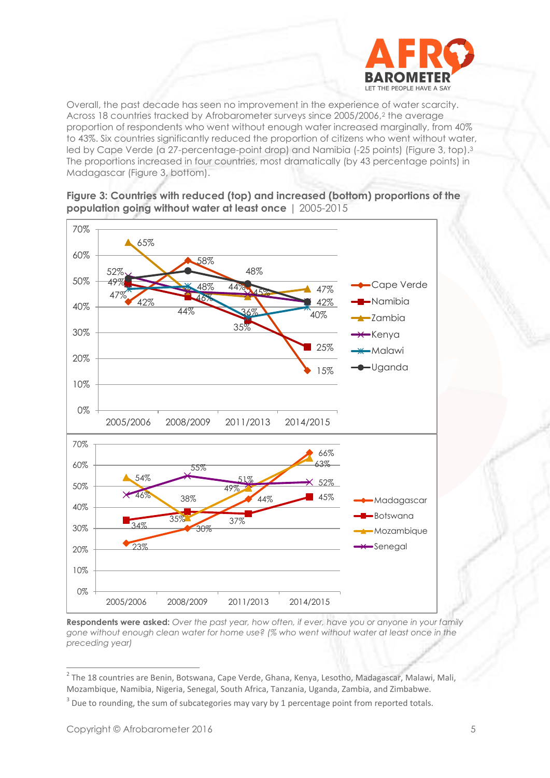

Overall, the past decade has seen no improvement in the experience of water scarcity. Across 18 countries tracked by Afrobarometer surveys since 2005/2006,<sup>2</sup> the average proportion of respondents who went without enough water increased marginally, from 40% to 43%. Six countries significantly reduced the proportion of citizens who went without water, led by Cape Verde (a 27-percentage-point drop) and Namibia (-25 points) (Figure 3, top). 3 The proportions increased in four countries, most dramatically (by 43 percentage points) in Madagascar (Figure 3, bottom).





**Respondents were asked:** *Over the past year, how often, if ever, have you or anyone in your family gone without enough clean water for home use? (% who went without water at least once in the preceding year)*

 2 The 18 countries are Benin, Botswana, Cape Verde, Ghana, Kenya, Lesotho, Madagascar, Malawi, Mali, Mozambique, Namibia, Nigeria, Senegal, South Africa, Tanzania, Uganda, Zambia, and Zimbabwe.

<sup>3</sup> Due to rounding, the sum of subcategories may vary by 1 percentage point from reported totals.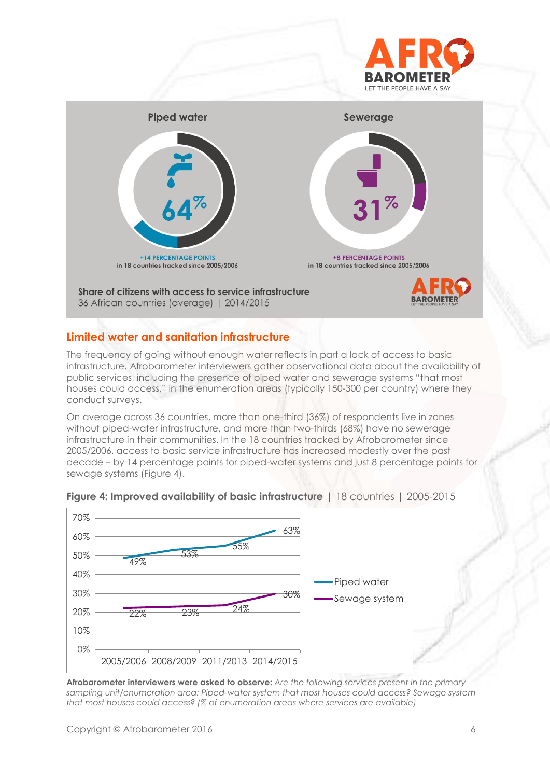



# **Limited water and sanitation infrastructure**

The frequency of going without enough water reflects in part a lack of access to basic infrastructure. Afrobarometer interviewers gather observational data about the availability of public services, including the presence of piped water and sewerage systems "that most houses could access," in the enumeration areas (typically 150-300 per country) where they conduct surveys.

On average across 36 countries, more than one-third (36%) of respondents live in zones without piped-water infrastructure, and more than two-thirds (68%) have no sewerage infrastructure in their communities. In the 18 countries tracked by Afrobarometer since 2005/2006, access to basic service infrastructure has increased modestly over the past decade – by 14 percentage points for piped-water systems and just 8 percentage points for sewage systems (Figure 4).



#### **Figure 4: Improved availability of basic infrastructure** | 18 countries | 2005-2015

**Afrobarometer interviewers were asked to observe:** *Are the following services present in the primary sampling unit/enumeration area: Piped-water system that most houses could access? Sewage system that most houses could access? (% of enumeration areas where services are available)*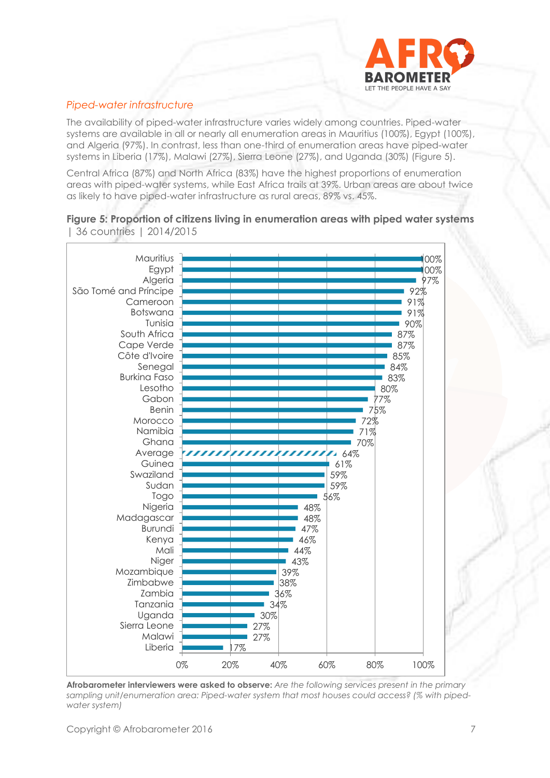

#### *Piped-water infrastructure*

The availability of piped-water infrastructure varies widely among countries. Piped-water systems are available in all or nearly all enumeration areas in Mauritius (100%), Egypt (100%), and Algeria (97%). In contrast, less than one-third of enumeration areas have piped-water systems in Liberia (17%), Malawi (27%), Sierra Leone (27%), and Uganda (30%) (Figure 5).

Central Africa (87%) and North Africa (83%) have the highest proportions of enumeration areas with piped-water systems, while East Africa trails at 39%. Urban areas are about twice as likely to have piped-water infrastructure as rural areas, 89% vs. 45%.

**Figure 5: Proportion of citizens living in enumeration areas with piped water systems**



| 36 countries | 2014/2015

**Afrobarometer interviewers were asked to observe:** *Are the following services present in the primary sampling unit/enumeration area: Piped-water system that most houses could access? (% with pipedwater system)*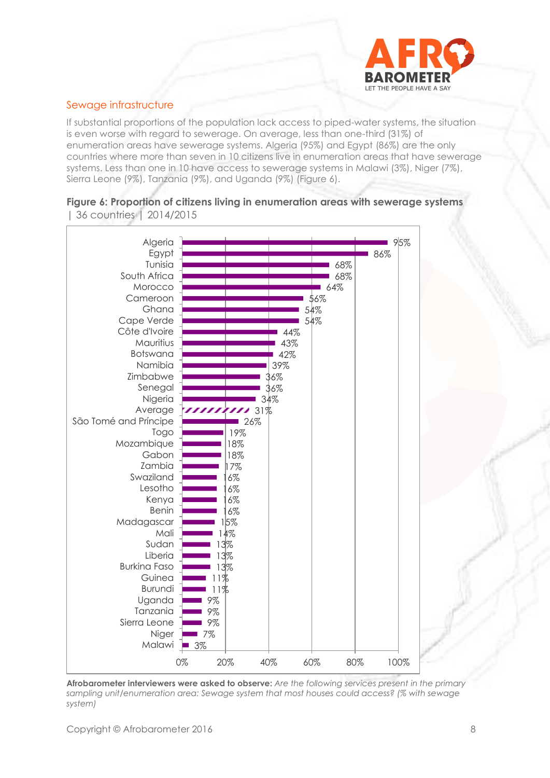

#### Sewage infrastructure

If substantial proportions of the population lack access to piped-water systems, the situation is even worse with regard to sewerage. On average, less than one-third (31%) of enumeration areas have sewerage systems. Algeria (95%) and Egypt (86%) are the only countries where more than seven in 10 citizens live in enumeration areas that have sewerage systems. Less than one in 10 have access to sewerage systems in Malawi (3%), Niger (7%), Sierra Leone (9%), Tanzania (9%), and Uganda (9%) (Figure 6).





**Afrobarometer interviewers were asked to observe:** *Are the following services present in the primary sampling unit/enumeration area: Sewage system that most houses could access? (% with sewage system)*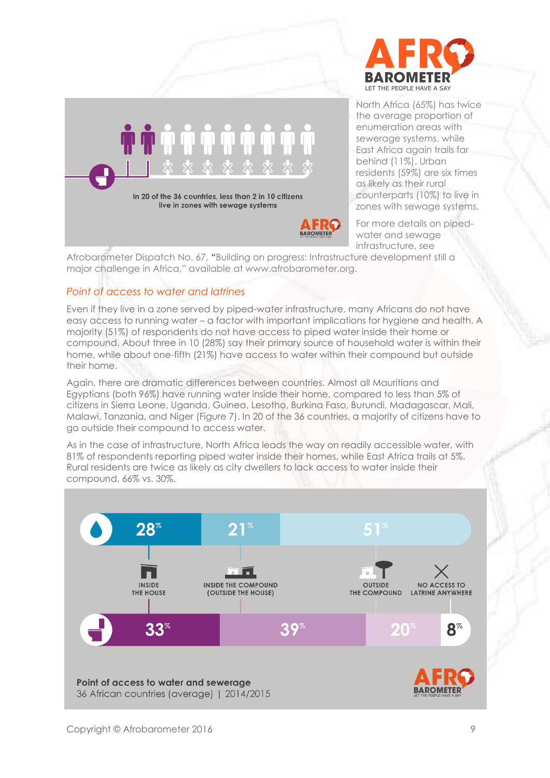



North Africa (65%) has twice the average proportion of enumeration areas with sewerage systems, while East Africa again trails far behind (11%). Urban residents (59%) are six times as likely as their rural counterparts (10%) to live in zones with sewage systems.

For more details on pipedwater and sewage infrastructure, see

Afrobarometer Dispatch No. 67, "Building on progress: Infrastructure development still a major challenge in Africa," available at www.afrobarometer.org.

#### *Point of access to water and latrines*

Even if they live in a zone served by piped-water infrastructure, many Africans do not have easy access to running water – a factor with important implications for hygiene and health. A majority (51%) of respondents do not have access to piped water inside their home or compound. About three in 10 (28%) say their primary source of household water is within their home, while about one-fifth (21%) have access to water within their compound but outside their home.

Again, there are dramatic differences between countries. Almost all Mauritians and Egyptians (both 96%) have running water inside their home, compared to less than 5% of citizens in Sierra Leone, Uganda, Guinea, Lesotho, Burkina Faso, Burundi, Madagascar, Mali, Malawi, Tanzania, and Niger (Figure 7). In 20 of the 36 countries, a majority of citizens have to go outside their compound to access water.

As in the case of infrastructure, North Africa leads the way on readily accessible water, with 81% of respondents reporting piped water inside their homes, while East Africa trails at 5%. Rural residents are twice as likely as city dwellers to lack access to water inside their compound, 66% vs. 30%.

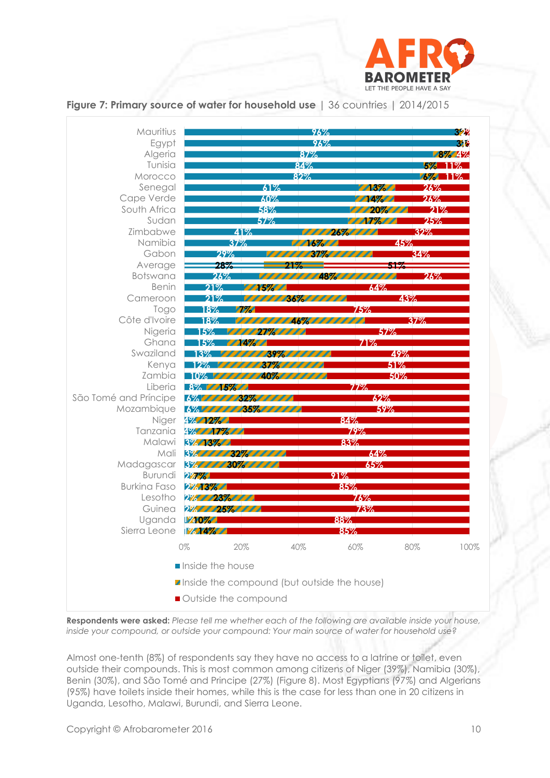





**Respondents were asked:** *Please tell me whether each of the following are available inside your house, inside your compound, or outside your compound: Your main source of water for household use?*

Almost one-tenth (8%) of respondents say they have no access to a latrine or toilet, even outside their compounds. This is most common among citizens of Niger (39%), Namibia (30%), Benin (30%), and São Tomé and Principe (27%) (Figure 8). Most Egyptians (97%) and Algerians (95%) have toilets inside their homes, while this is the case for less than one in 20 citizens in Uganda, Lesotho, Malawi, Burundi, and Sierra Leone.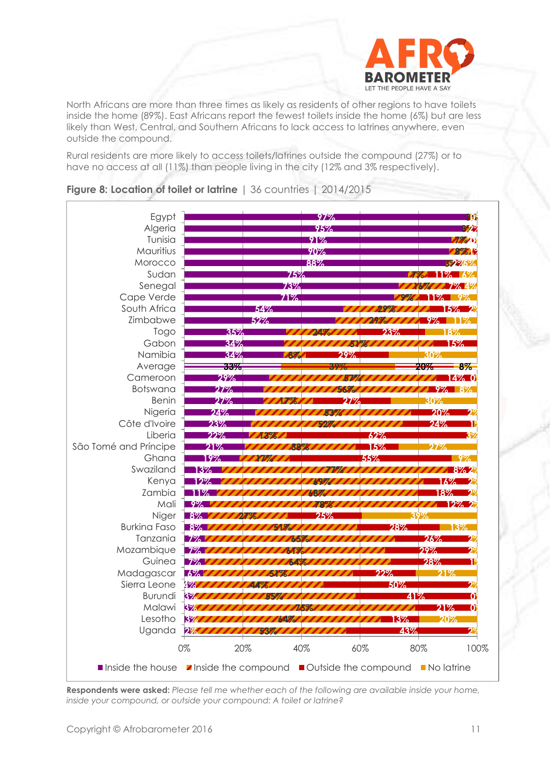

North Africans are more than three times as likely as residents of other regions to have toilets inside the home (89%). East Africans report the fewest toilets inside the home (6%) but are less likely than West, Central, and Southern Africans to lack access to latrines anywhere, even outside the compound.

Rural residents are more likely to access toilets/latrines outside the compound (27%) or to have no access at all (11%) than people living in the city (12% and 3% respectively).



**Figure 8: Location of toilet or latrine** | 36 countries | 2014/2015

**Respondents were asked:** *Please tell me whether each of the following are available inside your home, inside your compound, or outside your compound: A toilet or latrine?*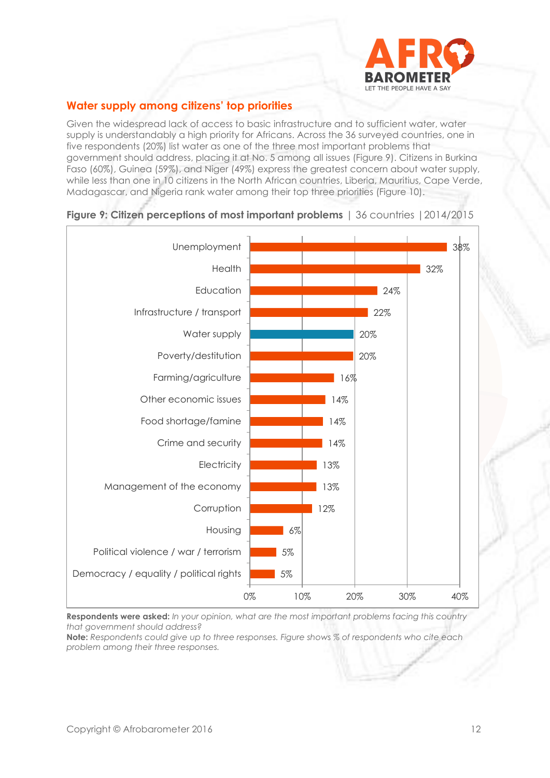

# **Water supply among citizens' top priorities**

Given the widespread lack of access to basic infrastructure and to sufficient water, water supply is understandably a high priority for Africans. Across the 36 surveyed countries, one in five respondents (20%) list water as one of the three most important problems that government should address, placing it at No. 5 among all issues (Figure 9). Citizens in Burkina Faso (60%), Guinea (59%), and Niger (49%) express the greatest concern about water supply, while less than one in 10 citizens in the North African countries, Liberia, Mauritius, Cape Verde, Madagascar, and Nigeria rank water among their top three priorities (Figure 10).



#### **Figure 9: Citizen perceptions of most important problems** | 36 countries |2014/2015

**Respondents were asked:** *In your opinion, what are the most important problems facing this country that government should address?*

**Note:** *Respondents could give up to three responses. Figure shows % of respondents who cite each problem among their three responses.*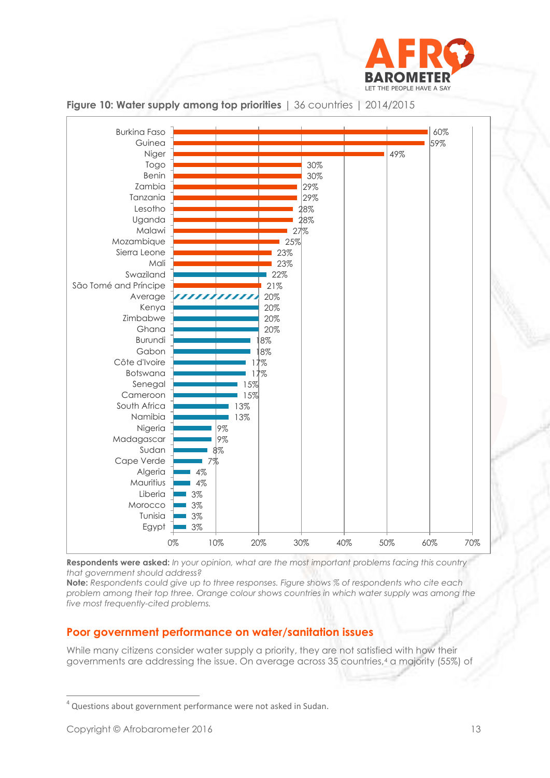





**Respondents were asked:** *In your opinion, what are the most important problems facing this country that government should address?* 

**Note:** *Respondents could give up to three responses. Figure shows % of respondents who cite each problem among their top three. Orange colour shows countries in which water supply was among the five most frequently-cited problems.*

# **Poor government performance on water/sanitation issues**

While many citizens consider water supply a priority, they are not satisfied with how their governments are addressing the issue. On average across 35 countries,<sup>4</sup> a majority (55%) of

<sup>&</sup>lt;sup>4</sup> Questions about government performance were not asked in Sudan.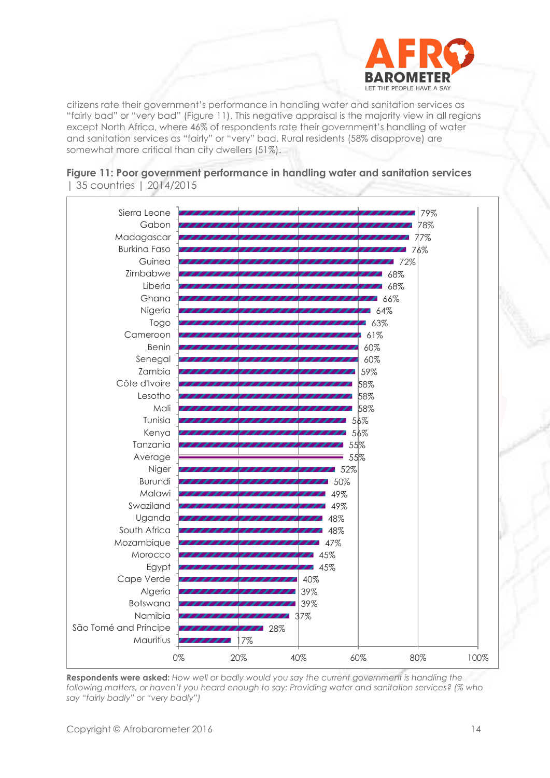

citizens rate their government's performance in handling water and sanitation services as "fairly bad" or "very bad" (Figure 11). This negative appraisal is the majority view in all regions except North Africa, where 46% of respondents rate their government's handling of water and sanitation services as "fairly" or "very" bad. Rural residents (58% disapprove) are somewhat more critical than city dwellers (51%).





**Respondents were asked:** *How well or badly would you say the current government is handling the*  following matters, or haven't you heard enough to say: Providing water and sanitation services? (% who *say "fairly badly" or "very badly")*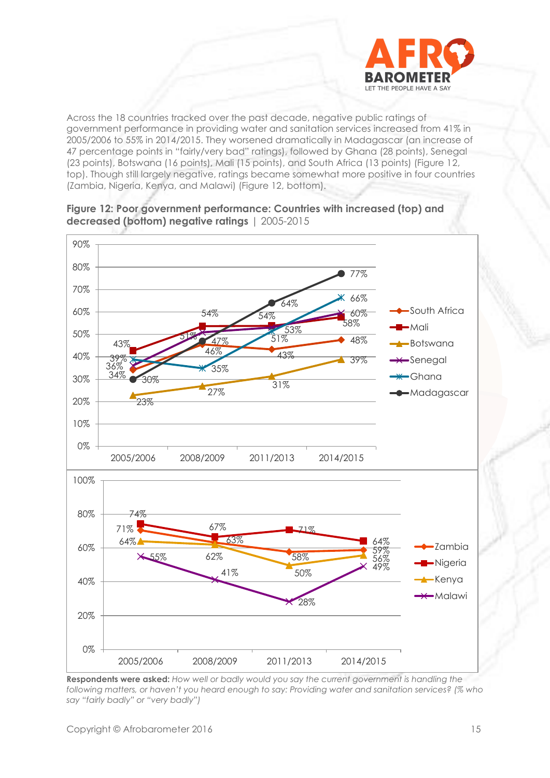

Across the 18 countries tracked over the past decade, negative public ratings of government performance in providing water and sanitation services increased from 41% in 2005/2006 to 55% in 2014/2015. They worsened dramatically in Madagascar (an increase of 47 percentage points in "fairly/very bad" ratings), followed by Ghana (28 points), Senegal (23 points), Botswana (16 points), Mali (15 points), and South Africa (13 points) (Figure 12, top). Though still largely negative, ratings became somewhat more positive in four countries (Zambia, Nigeria, Kenya, and Malawi) (Figure 12, bottom).



**Figure 12: Poor government performance: Countries with increased (top) and decreased (bottom) negative ratings** | 2005-2015

**Respondents were asked:** *How well or badly would you say the current government is handling the following matters, or haven't you heard enough to say: Providing water and sanitation services? (% who say "fairly badly" or "very badly")*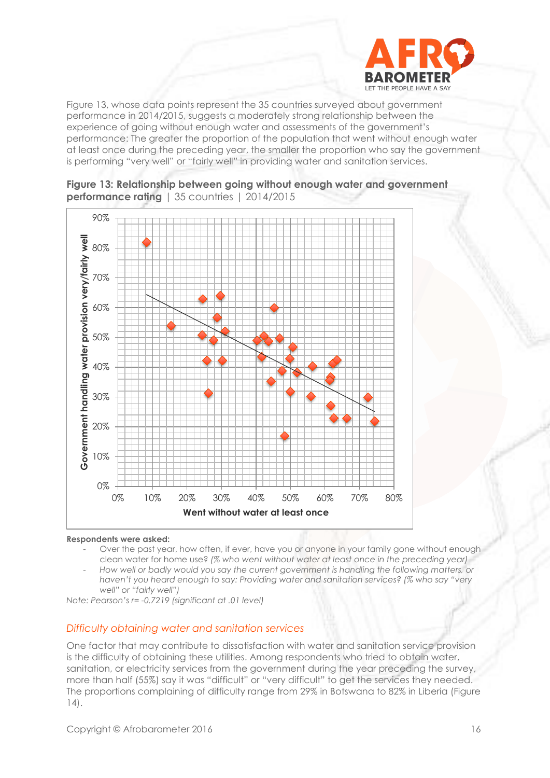

Figure 13, whose data points represent the 35 countries surveyed about government performance in 2014/2015, suggests a moderately strong relationship between the experience of going without enough water and assessments of the government's performance: The greater the proportion of the population that went without enough water at least once during the preceding year, the smaller the proportion who say the government is performing "very well" or "fairly well" in providing water and sanitation services.





#### **Respondents were asked:**

- Over the past year, how often, if ever, have you or anyone in your family gone without enough clean water for home use? *(% who went without water at least once in the preceding year)*
- *How well or badly would you say the current government is handling the following matters, or haven't you heard enough to say: Providing water and sanitation services? (% who say "very well" or "fairly well")*

*Note: Pearson's r= -0.7219 (significant at .01 level)*

#### *Difficulty obtaining water and sanitation services*

One factor that may contribute to dissatisfaction with water and sanitation service provision is the difficulty of obtaining these utilities. Among respondents who tried to obtain water, sanitation, or electricity services from the government during the year preceding the survey, more than half (55%) say it was "difficult" or "very difficult" to get the services they needed. The proportions complaining of difficulty range from 29% in Botswana to 82% in Liberia (Figure 14).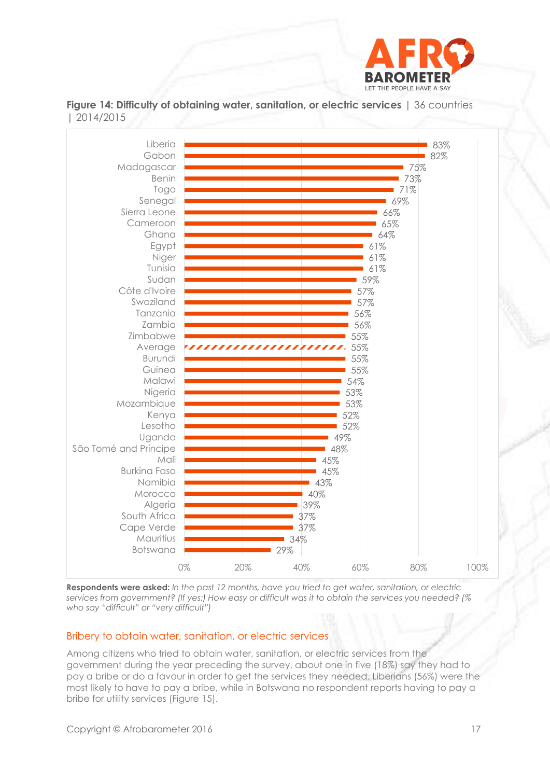

**Figure 14: Difficulty of obtaining water, sanitation, or electric services** | 36 countries | 2014/2015



**Respondents were asked:** *In the past 12 months, have you tried to get water, sanitation, or electric services from government? (If yes:) How easy or difficult was it to obtain the services you needed? (% who say "difficult" or "very difficult")* 

#### Bribery to obtain water, sanitation, or electric services

Among citizens who tried to obtain water, sanitation, or electric services from the government during the year preceding the survey, about one in five (18%) say they had to pay a bribe or do a favour in order to get the services they needed. Liberians (56%) were the most likely to have to pay a bribe, while in Botswana no respondent reports having to pay a bribe for utility services (Figure 15).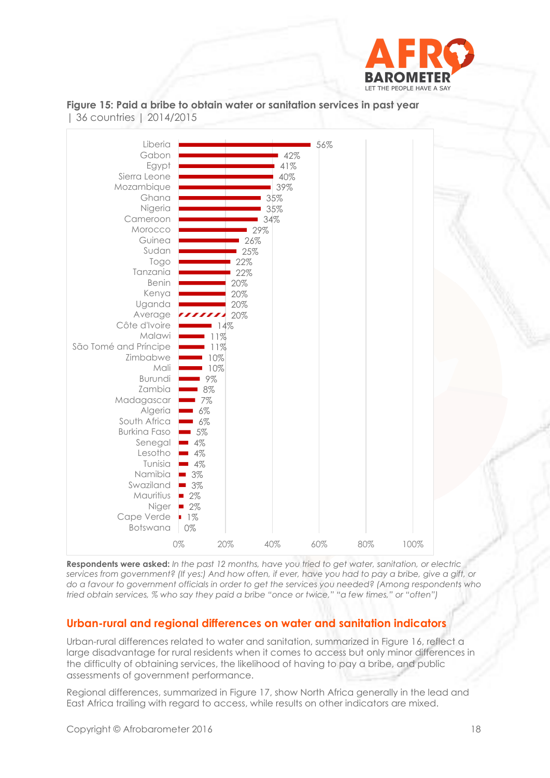



**Figure 15: Paid a bribe to obtain water or sanitation services in past year**  | 36 countries | 2014/2015

**Respondents were asked:** *In the past 12 months, have you tried to get water, sanitation, or electric services from government? (If yes:) And how often, if ever, have you had to pay a bribe, give a gift, or do a favour to government officials in order to get the services you needed? (Among respondents who tried obtain services, % who say they paid a bribe "once or twice," "a few times," or "often")*

# **Urban-rural and regional differences on water and sanitation indicators**

Urban-rural differences related to water and sanitation, summarized in Figure 16, reflect a large disadvantage for rural residents when it comes to access but only minor differences in the difficulty of obtaining services, the likelihood of having to pay a bribe, and public assessments of government performance.

Regional differences, summarized in Figure 17, show North Africa generally in the lead and East Africa trailing with regard to access, while results on other indicators are mixed.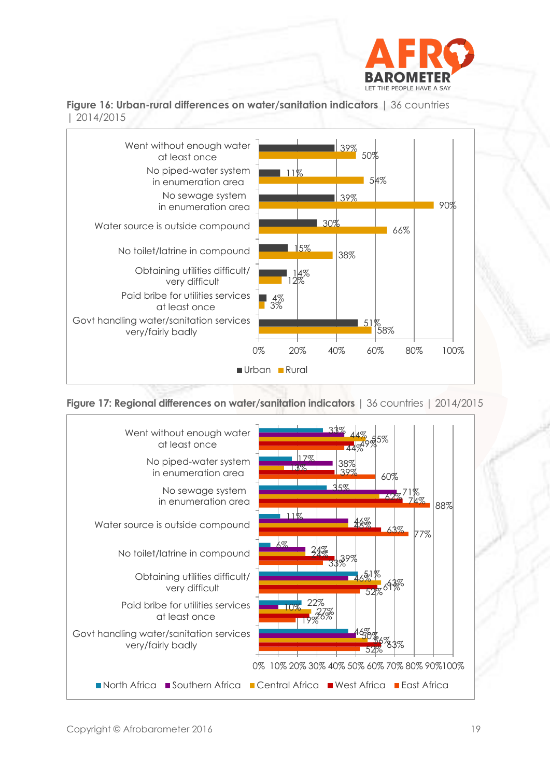

**Figure 16: Urban-rural differences on water/sanitation indicators** | 36 countries | 2014/2015



**Figure 17: Regional differences on water/sanitation indicators** | 36 countries | 2014/2015

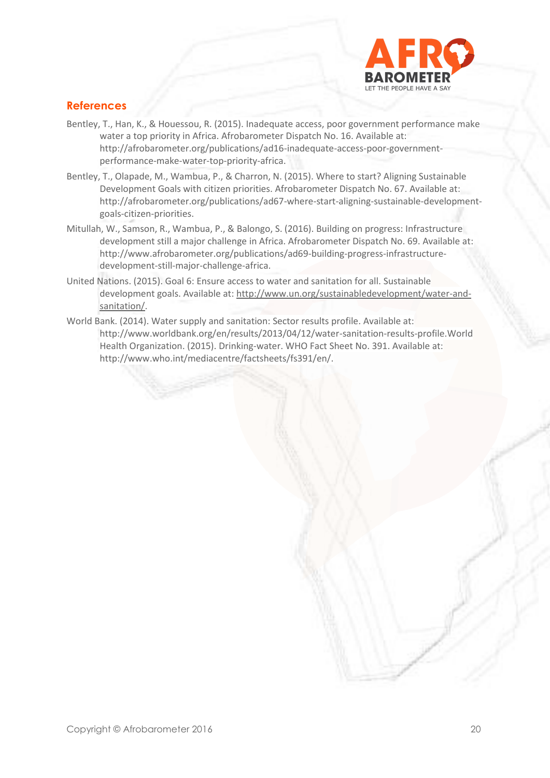

# **References**

- Bentley, T., Han, K., & Houessou, R. (2015). Inadequate access, poor government performance make water a top priority in Africa. Afrobarometer Dispatch No. 16. Available at: http://afrobarometer.org/publications/ad16-inadequate-access-poor-governmentperformance-make-water-top-priority-africa.
- Bentley, T., Olapade, M., Wambua, P., & Charron, N. (2015). Where to start? Aligning Sustainable Development Goals with citizen priorities. Afrobarometer Dispatch No. 67. Available at: http://afrobarometer.org/publications/ad67-where-start-aligning-sustainable-developmentgoals-citizen-priorities.
- Mitullah, W., Samson, R., Wambua, P., & Balongo, S. (2016). Building on progress: Infrastructure development still a major challenge in Africa. Afrobarometer Dispatch No. 69. Available at: http://www.afrobarometer.org/publications/ad69-building-progress-infrastructuredevelopment-still-major-challenge-africa.
- United Nations. (2015). Goal 6: Ensure access to water and sanitation for all. Sustainable development goals. Available at: [http://www.un.org/sustainabledevelopment/water-and](http://www.un.org/sustainabledevelopment/water-and-sanitation/)[sanitation/.](http://www.un.org/sustainabledevelopment/water-and-sanitation/)
- World Bank. (2014). Water supply and sanitation: Sector results profile. Available at: http://www.worldbank.org/en/results/2013/04/12/water-sanitation-results-profile.World Health Organization. (2015). Drinking-water. WHO Fact Sheet No. 391. Available at: http://www.who.int/mediacentre/factsheets/fs391/en/.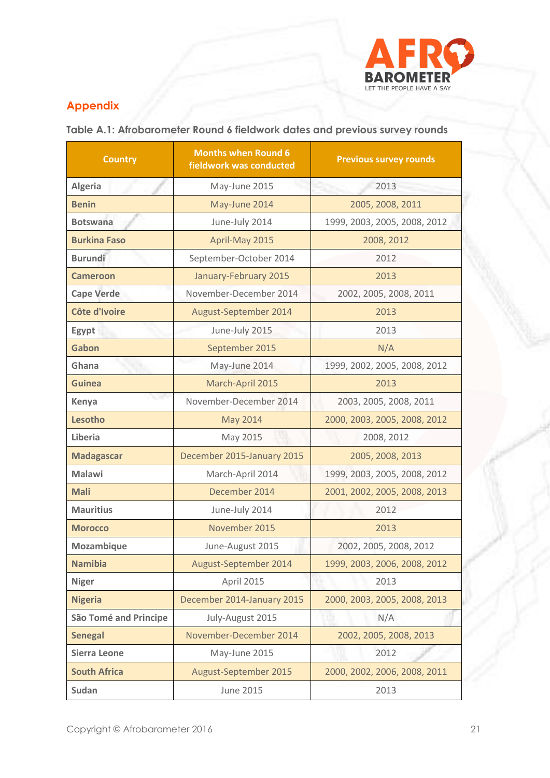

# **Appendix**

**Table A.1: Afrobarometer Round 6 fieldwork dates and previous survey rounds**

| <b>Country</b>               | <b>Months when Round 6</b><br>fieldwork was conducted | <b>Previous survey rounds</b> |  |
|------------------------------|-------------------------------------------------------|-------------------------------|--|
| <b>Algeria</b>               | May-June 2015                                         | 2013                          |  |
| <b>Benin</b>                 | May-June 2014                                         | 2005, 2008, 2011              |  |
| <b>Botswana</b>              | June-July 2014                                        | 1999, 2003, 2005, 2008, 2012  |  |
| <b>Burkina Faso</b>          | April-May 2015                                        | 2008, 2012                    |  |
| <b>Burundi</b>               | September-October 2014                                | 2012                          |  |
| <b>Cameroon</b>              | January-February 2015                                 | 2013                          |  |
| <b>Cape Verde</b>            | November-December 2014                                | 2002, 2005, 2008, 2011        |  |
| Côte d'Ivoire                | August-September 2014                                 | 2013                          |  |
| Egypt                        | June-July 2015                                        | 2013                          |  |
| Gabon                        | September 2015                                        | N/A                           |  |
| Ghana                        | May-June 2014                                         | 1999, 2002, 2005, 2008, 2012  |  |
| <b>Guinea</b>                | March-April 2015                                      | 2013                          |  |
| Kenya                        | November-December 2014                                | 2003, 2005, 2008, 2011        |  |
| Lesotho                      | May 2014                                              | 2000, 2003, 2005, 2008, 2012  |  |
| Liberia                      | May 2015                                              | 2008, 2012                    |  |
| <b>Madagascar</b>            | December 2015-January 2015                            | 2005, 2008, 2013              |  |
| <b>Malawi</b>                | March-April 2014                                      | 1999, 2003, 2005, 2008, 2012  |  |
| <b>Mali</b>                  | December 2014                                         | 2001, 2002, 2005, 2008, 2013  |  |
| <b>Mauritius</b>             | June-July 2014                                        | 2012                          |  |
| <b>Morocco</b>               | November 2015                                         | 2013                          |  |
| Mozambique                   | June-August 2015                                      | 2002, 2005, 2008, 2012        |  |
| <b>Namibia</b>               | August-September 2014                                 | 1999, 2003, 2006, 2008, 2012  |  |
| <b>Niger</b>                 | <b>April 2015</b>                                     | 2013                          |  |
| <b>Nigeria</b>               | December 2014-January 2015                            | 2000, 2003, 2005, 2008, 2013  |  |
| <b>São Tomé and Principe</b> | July-August 2015                                      | N/A                           |  |
| <b>Senegal</b>               | November-December 2014                                | 2002, 2005, 2008, 2013        |  |
| <b>Sierra Leone</b>          | May-June 2015                                         | 2012                          |  |
| <b>South Africa</b>          | August-September 2015                                 | 2000, 2002, 2006, 2008, 2011  |  |
| Sudan                        | <b>June 2015</b>                                      | 2013                          |  |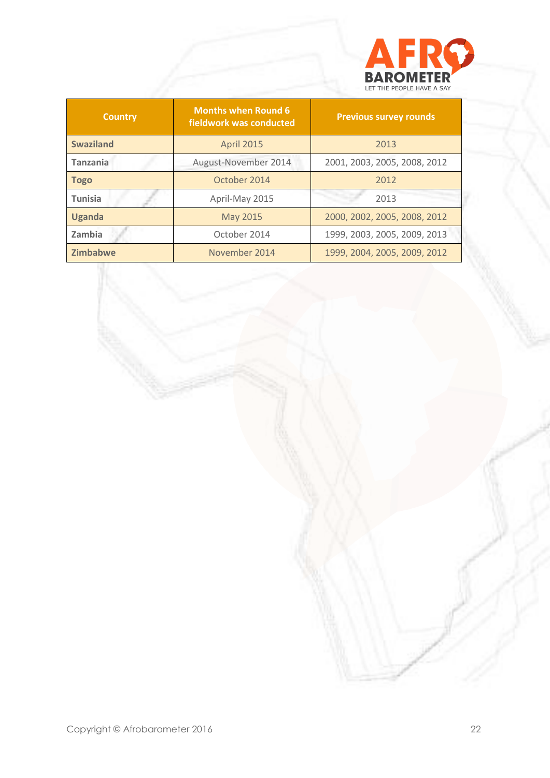

| <b>Country</b>   | <b>Months when Round 6</b><br>fieldwork was conducted | <b>Previous survey rounds</b> |
|------------------|-------------------------------------------------------|-------------------------------|
| <b>Swaziland</b> | <b>April 2015</b>                                     | 2013                          |
| <b>Tanzania</b>  | August-November 2014                                  | 2001, 2003, 2005, 2008, 2012  |
| <b>Togo</b>      | October 2014                                          | 2012                          |
| <b>Tunisia</b>   | April-May 2015                                        | 2013                          |
| <b>Uganda</b>    | May 2015                                              | 2000, 2002, 2005, 2008, 2012  |
| Zambia           | October 2014                                          | 1999, 2003, 2005, 2009, 2013  |
| <b>Zimbabwe</b>  | November 2014                                         | 1999, 2004, 2005, 2009, 2012  |